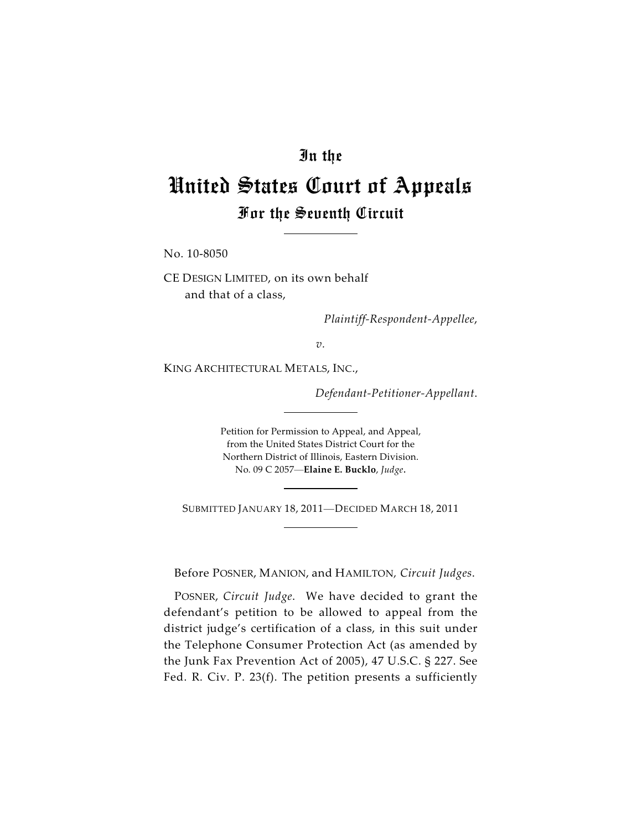## In the

## United States Court of Appeals For the Seventh Circuit

No. 10-8050

CE DESIGN LIMITED, on its own behalf and that of a class,

*Plaintiff-Respondent-Appellee*,

*v.*

KING ARCHITECTURAL METALS, INC.,

*Defendant-Petitioner-Appellant*.

Petition for Permission to Appeal, and Appeal, from the United States District Court for the Northern District of Illinois, Eastern Division. No. 09 C 2057—**Elaine E. Bucklo**, *Judge*.

SUBMITTED JANUARY 18, 2011—DECIDED MARCH 18, 2011

Before POSNER, MANION, and HAMILTON*, Circuit Judges*.

POSNER, *Circuit Judge*. We have decided to grant the defendant's petition to be allowed to appeal from the district judge's certification of a class, in this suit under the Telephone Consumer Protection Act (as amended by the Junk Fax Prevention Act of 2005), 47 U.S.C. § 227. See Fed. R. Civ. P. 23(f). The petition presents a sufficiently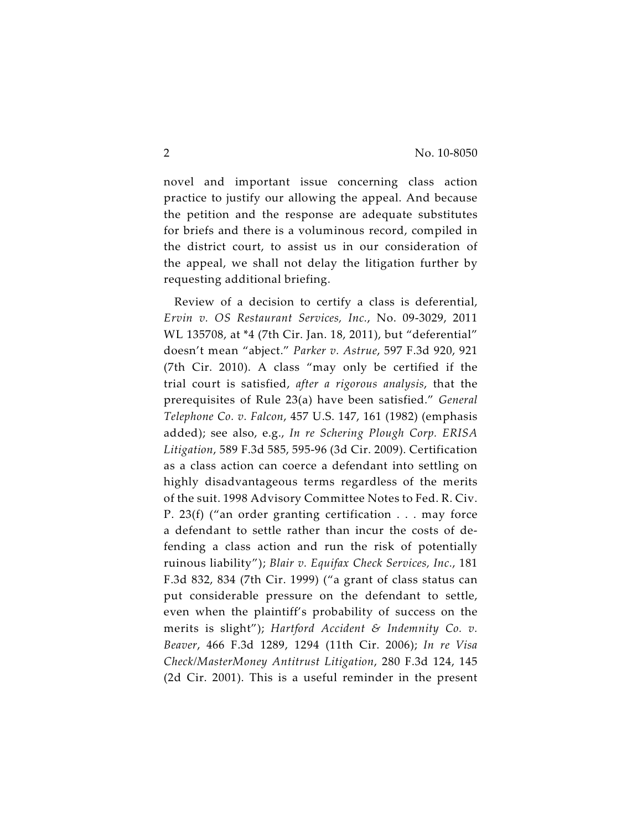novel and important issue concerning class action practice to justify our allowing the appeal. And because the petition and the response are adequate substitutes for briefs and there is a voluminous record, compiled in the district court, to assist us in our consideration of the appeal, we shall not delay the litigation further by requesting additional briefing.

Review of a decision to certify a class is deferential, *Ervin v. OS Restaurant Services, Inc.*, No. 09-3029, 2011 WL 135708, at \*4 (7th Cir. Jan. 18, 2011), but "deferential" doesn't mean "abject." *Parker v. Astrue*, 597 F.3d 920, 921 (7th Cir. 2010). A class "may only be certified if the trial court is satisfied, *after a rigorous analysis*, that the prerequisites of Rule 23(a) have been satisfied." *General Telephone Co. v. Falcon*, 457 U.S. 147, 161 (1982) (emphasis added); see also, e.g., *In re Schering Plough Corp. ERISA Litigation*, 589 F.3d 585, 595-96 (3d Cir. 2009). Certification as a class action can coerce a defendant into settling on highly disadvantageous terms regardless of the merits of the suit. 1998 Advisory Committee Notes to Fed. R. Civ. P. 23(f) ("an order granting certification . . . may force a defendant to settle rather than incur the costs of defending a class action and run the risk of potentially ruinous liability"); *Blair v. Equifax Check Services, Inc.*, 181 F.3d 832, 834 (7th Cir. 1999) ("a grant of class status can put considerable pressure on the defendant to settle, even when the plaintiff's probability of success on the merits is slight"); *Hartford Accident & Indemnity Co. v. Beaver*, 466 F.3d 1289, 1294 (11th Cir. 2006); *In re Visa Check/MasterMoney Antitrust Litigation*, 280 F.3d 124, 145 (2d Cir. 2001). This is a useful reminder in the present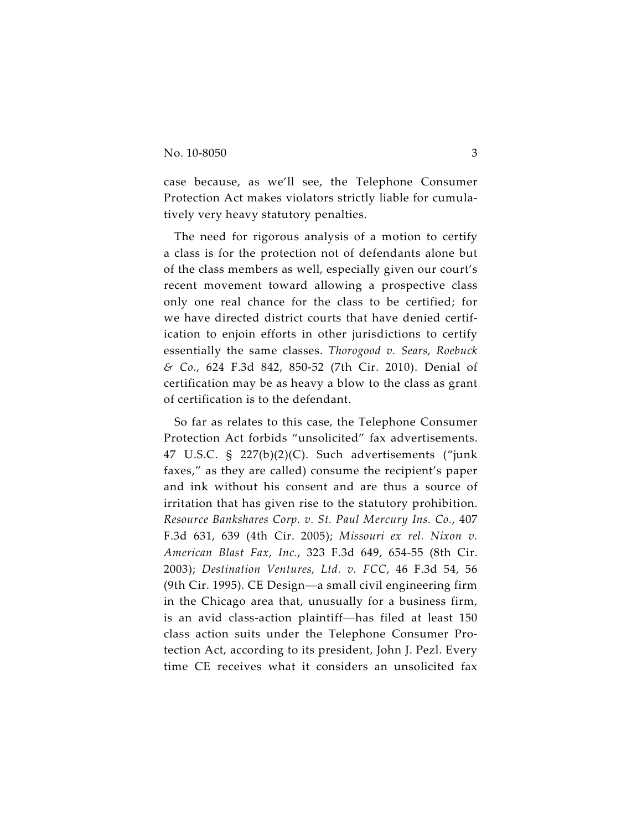case because, as we'll see, the Telephone Consumer Protection Act makes violators strictly liable for cumulatively very heavy statutory penalties.

The need for rigorous analysis of a motion to certify a class is for the protection not of defendants alone but of the class members as well, especially given our court's recent movement toward allowing a prospective class only one real chance for the class to be certified; for we have directed district courts that have denied certification to enjoin efforts in other jurisdictions to certify essentially the same classes. *Thorogood v. Sears, Roebuck & Co.*, 624 F.3d 842, 850-52 (7th Cir. 2010). Denial of certification may be as heavy a blow to the class as grant of certification is to the defendant.

So far as relates to this case, the Telephone Consumer Protection Act forbids "unsolicited" fax advertisements. 47 U.S.C. § 227(b)(2)(C). Such advertisements ("junk faxes," as they are called) consume the recipient's paper and ink without his consent and are thus a source of irritation that has given rise to the statutory prohibition. *Resource Bankshares Corp. v. St. Paul Mercury Ins. Co.*, 407 F.3d 631, 639 (4th Cir. 2005); *Missouri ex rel. Nixon v. American Blast Fax, Inc.*, 323 F.3d 649, 654-55 (8th Cir. 2003); *Destination Ventures, Ltd. v. FCC*, 46 F.3d 54, 56 (9th Cir. 1995). CE Design—a small civil engineering firm in the Chicago area that, unusually for a business firm, is an avid class-action plaintiff—has filed at least 150 class action suits under the Telephone Consumer Protection Act, according to its president, John J. Pezl. Every time CE receives what it considers an unsolicited fax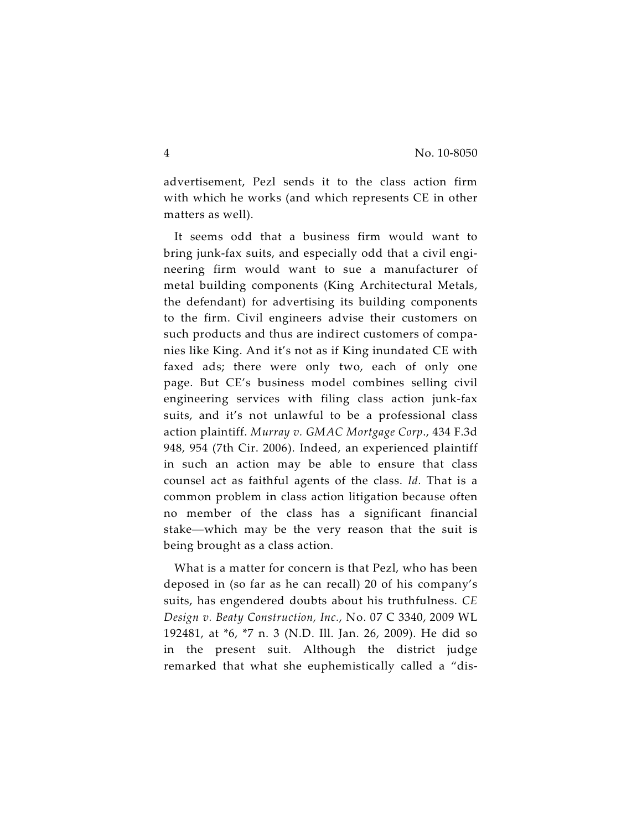advertisement, Pezl sends it to the class action firm with which he works (and which represents CE in other matters as well).

It seems odd that a business firm would want to bring junk-fax suits, and especially odd that a civil engineering firm would want to sue a manufacturer of metal building components (King Architectural Metals, the defendant) for advertising its building components to the firm. Civil engineers advise their customers on such products and thus are indirect customers of companies like King. And it's not as if King inundated CE with faxed ads; there were only two, each of only one page. But CE's business model combines selling civil engineering services with filing class action junk-fax suits, and it's not unlawful to be a professional class action plaintiff. *Murray v. GMAC Mortgage Corp*., 434 F.3d 948, 954 (7th Cir. 2006). Indeed, an experienced plaintiff in such an action may be able to ensure that class counsel act as faithful agents of the class. *Id.* That is a common problem in class action litigation because often no member of the class has a significant financial stake—which may be the very reason that the suit is being brought as a class action.

What is a matter for concern is that Pezl, who has been deposed in (so far as he can recall) 20 of his company's suits, has engendered doubts about his truthfulness. *CE Design v. Beaty Construction, Inc.*, No. 07 C 3340, 2009 WL 192481, at \*6, \*7 n. 3 (N.D. Ill. Jan. 26, 2009). He did so in the present suit. Although the district judge remarked that what she euphemistically called a "dis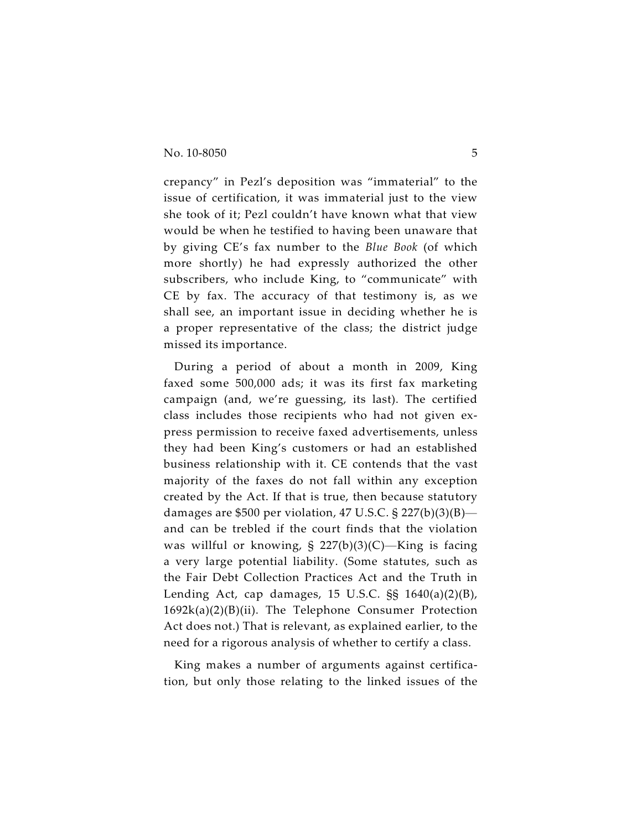crepancy" in Pezl's deposition was "immaterial" to the issue of certification, it was immaterial just to the view she took of it; Pezl couldn't have known what that view would be when he testified to having been unaware that by giving CE's fax number to the *Blue Book* (of which more shortly) he had expressly authorized the other subscribers, who include King, to "communicate" with CE by fax. The accuracy of that testimony is, as we shall see, an important issue in deciding whether he is a proper representative of the class; the district judge missed its importance.

During a period of about a month in 2009, King faxed some 500,000 ads; it was its first fax marketing campaign (and, we're guessing, its last). The certified class includes those recipients who had not given express permission to receive faxed advertisements, unless they had been King's customers or had an established business relationship with it. CE contends that the vast majority of the faxes do not fall within any exception created by the Act. If that is true, then because statutory damages are \$500 per violation, 47 U.S.C. § 227(b)(3)(B) and can be trebled if the court finds that the violation was willful or knowing,  $\S$  227(b)(3)(C)—King is facing a very large potential liability. (Some statutes, such as the Fair Debt Collection Practices Act and the Truth in Lending Act, cap damages, 15 U.S.C. §§ 1640(a)(2)(B), 1692k(a)(2)(B)(ii). The Telephone Consumer Protection Act does not.) That is relevant, as explained earlier, to the need for a rigorous analysis of whether to certify a class.

King makes a number of arguments against certification, but only those relating to the linked issues of the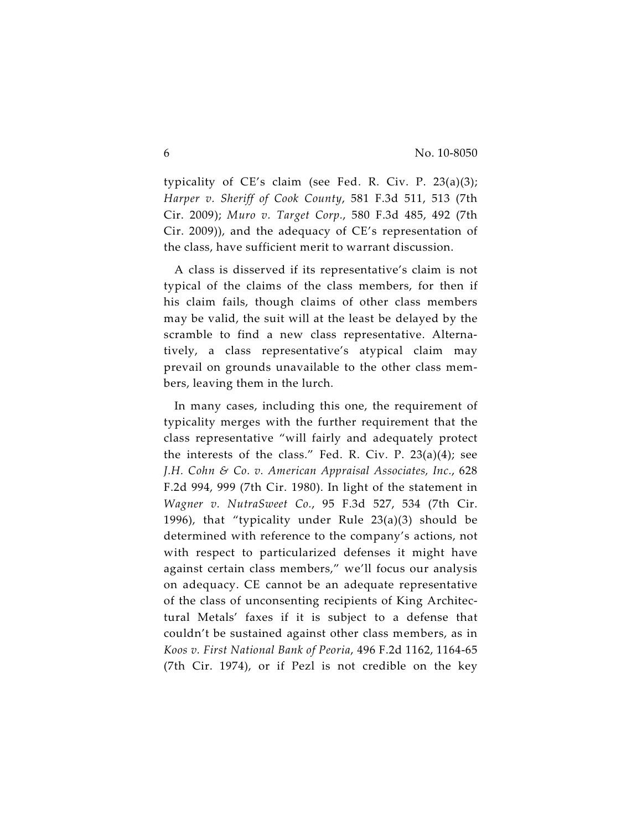typicality of CE's claim (see Fed. R. Civ. P. 23(a)(3); *Harper v. Sheriff of Cook County*, 581 F.3d 511, 513 (7th Cir. 2009); *Muro v. Target Corp.*, 580 F.3d 485, 492 (7th Cir. 2009)), and the adequacy of CE's representation of the class, have sufficient merit to warrant discussion.

A class is disserved if its representative's claim is not typical of the claims of the class members, for then if his claim fails, though claims of other class members may be valid, the suit will at the least be delayed by the scramble to find a new class representative. Alternatively, a class representative's atypical claim may prevail on grounds unavailable to the other class members, leaving them in the lurch.

In many cases, including this one, the requirement of typicality merges with the further requirement that the class representative "will fairly and adequately protect the interests of the class." Fed. R. Civ. P. 23(a)(4); see *J.H. Cohn & Co. v. American Appraisal Associates, Inc.*, 628 F.2d 994, 999 (7th Cir. 1980). In light of the statement in *Wagner v. NutraSweet Co.*, 95 F.3d 527, 534 (7th Cir. 1996), that "typicality under Rule  $23(a)(3)$  should be determined with reference to the company's actions, not with respect to particularized defenses it might have against certain class members," we'll focus our analysis on adequacy. CE cannot be an adequate representative of the class of unconsenting recipients of King Architectural Metals' faxes if it is subject to a defense that couldn't be sustained against other class members, as in *Koos v. First National Bank of Peoria*, 496 F.2d 1162, 1164-65 (7th Cir. 1974), or if Pezl is not credible on the key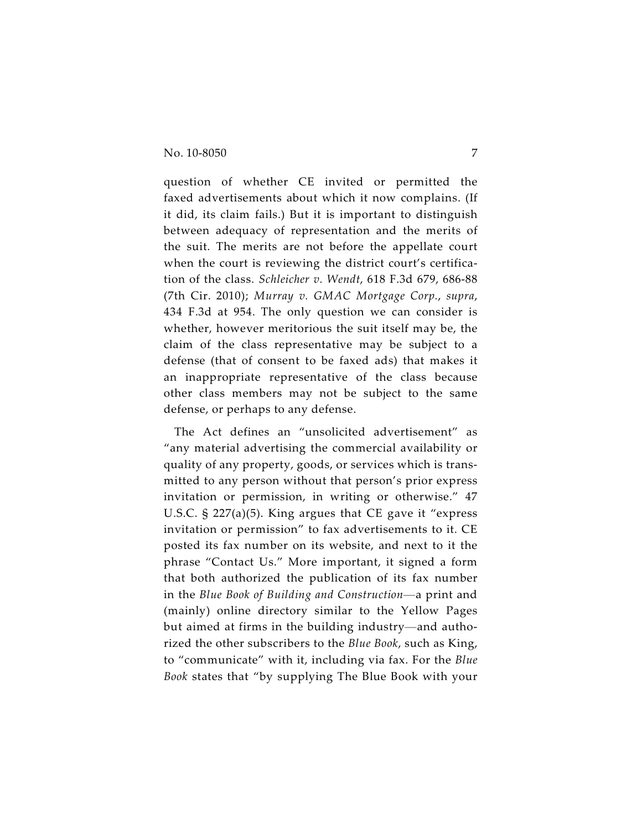question of whether CE invited or permitted the faxed advertisements about which it now complains. (If it did, its claim fails.) But it is important to distinguish between adequacy of representation and the merits of the suit. The merits are not before the appellate court when the court is reviewing the district court's certification of the class. *Schleicher v. Wendt*, 618 F.3d 679, 686-88 (7th Cir. 2010); *Murray v. GMAC Mortgage Corp.*, *supra*, 434 F.3d at 954. The only question we can consider is whether, however meritorious the suit itself may be, the claim of the class representative may be subject to a defense (that of consent to be faxed ads) that makes it an inappropriate representative of the class because other class members may not be subject to the same defense, or perhaps to any defense.

The Act defines an "unsolicited advertisement" as "any material advertising the commercial availability or quality of any property, goods, or services which is transmitted to any person without that person's prior express invitation or permission, in writing or otherwise." 47 U.S.C. § 227(a)(5). King argues that CE gave it "express invitation or permission" to fax advertisements to it. CE posted its fax number on its website, and next to it the phrase "Contact Us." More important, it signed a form that both authorized the publication of its fax number in the *Blue Book of Building and Construction*—a print and (mainly) online directory similar to the Yellow Pages but aimed at firms in the building industry—and authorized the other subscribers to the *Blue Book*, such as King, to "communicate" with it, including via fax. For the *Blue Book* states that "by supplying The Blue Book with your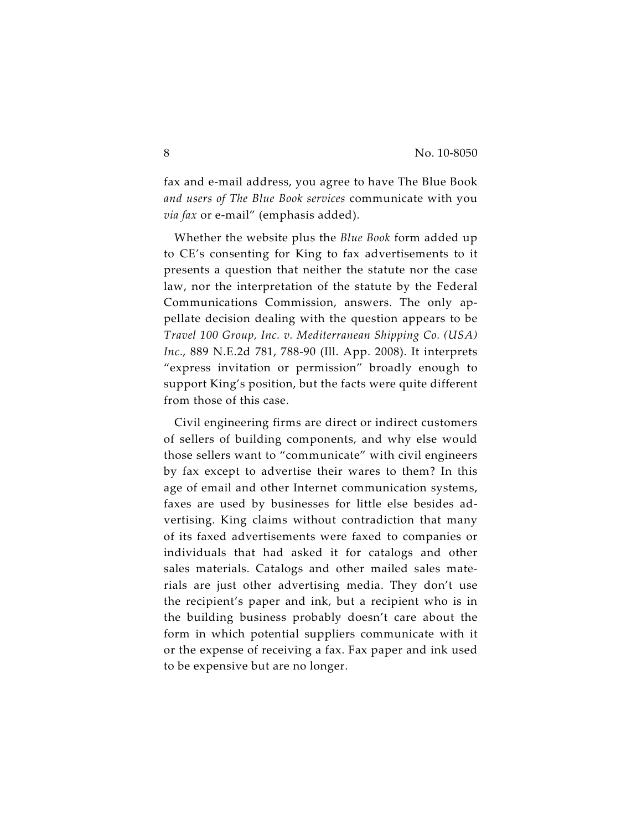fax and e-mail address, you agree to have The Blue Book *and users of The Blue Book services* communicate with you *via fax* or e-mail" (emphasis added).

Whether the website plus the *Blue Book* form added up to CE's consenting for King to fax advertisements to it presents a question that neither the statute nor the case law, nor the interpretation of the statute by the Federal Communications Commission, answers. The only appellate decision dealing with the question appears to be *Travel 100 Group, Inc. v. Mediterranean Shipping Co. (USA) Inc*., 889 N.E.2d 781, 788-90 (Ill. App. 2008). It interprets "express invitation or permission" broadly enough to support King's position, but the facts were quite different from those of this case.

Civil engineering firms are direct or indirect customers of sellers of building components, and why else would those sellers want to "communicate" with civil engineers by fax except to advertise their wares to them? In this age of email and other Internet communication systems, faxes are used by businesses for little else besides advertising. King claims without contradiction that many of its faxed advertisements were faxed to companies or individuals that had asked it for catalogs and other sales materials. Catalogs and other mailed sales materials are just other advertising media. They don't use the recipient's paper and ink, but a recipient who is in the building business probably doesn't care about the form in which potential suppliers communicate with it or the expense of receiving a fax. Fax paper and ink used to be expensive but are no longer.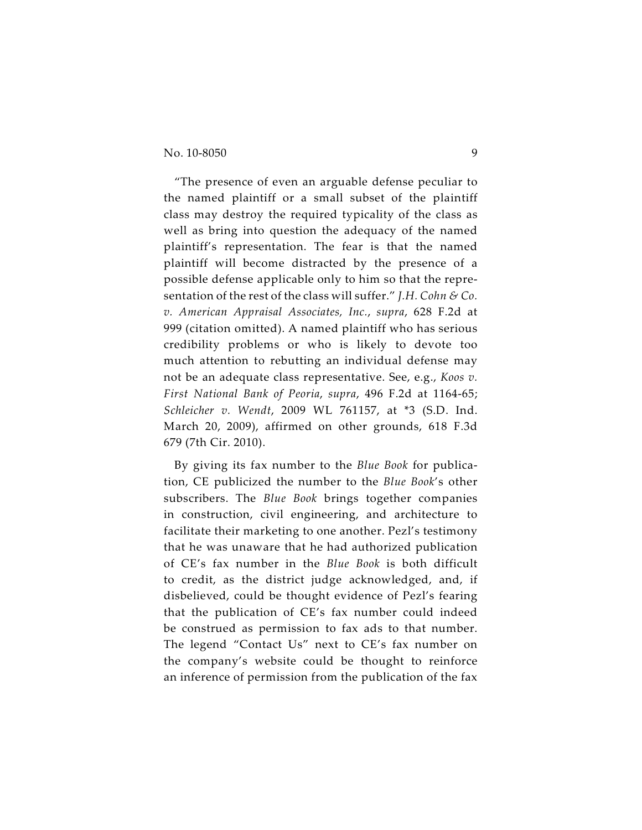"The presence of even an arguable defense peculiar to the named plaintiff or a small subset of the plaintiff class may destroy the required typicality of the class as well as bring into question the adequacy of the named plaintiff's representation. The fear is that the named plaintiff will become distracted by the presence of a possible defense applicable only to him so that the representation of the rest of the class will suffer." *J.H. Cohn & Co. v. American Appraisal Associates, Inc.*, *supra*, 628 F.2d at 999 (citation omitted). A named plaintiff who has serious credibility problems or who is likely to devote too much attention to rebutting an individual defense may not be an adequate class representative. See, e.g., *Koos v. First National Bank of Peoria*, *supra*, 496 F.2d at 1164-65; *Schleicher v. Wendt*, 2009 WL 761157, at \*3 (S.D. Ind. March 20, 2009), affirmed on other grounds, 618 F.3d 679 (7th Cir. 2010).

By giving its fax number to the *Blue Book* for publication, CE publicized the number to the *Blue Book*'s other subscribers. The *Blue Book* brings together companies in construction, civil engineering, and architecture to facilitate their marketing to one another. Pezl's testimony that he was unaware that he had authorized publication of CE's fax number in the *Blue Book* is both difficult to credit, as the district judge acknowledged, and, if disbelieved, could be thought evidence of Pezl's fearing that the publication of CE's fax number could indeed be construed as permission to fax ads to that number. The legend "Contact Us" next to CE's fax number on the company's website could be thought to reinforce an inference of permission from the publication of the fax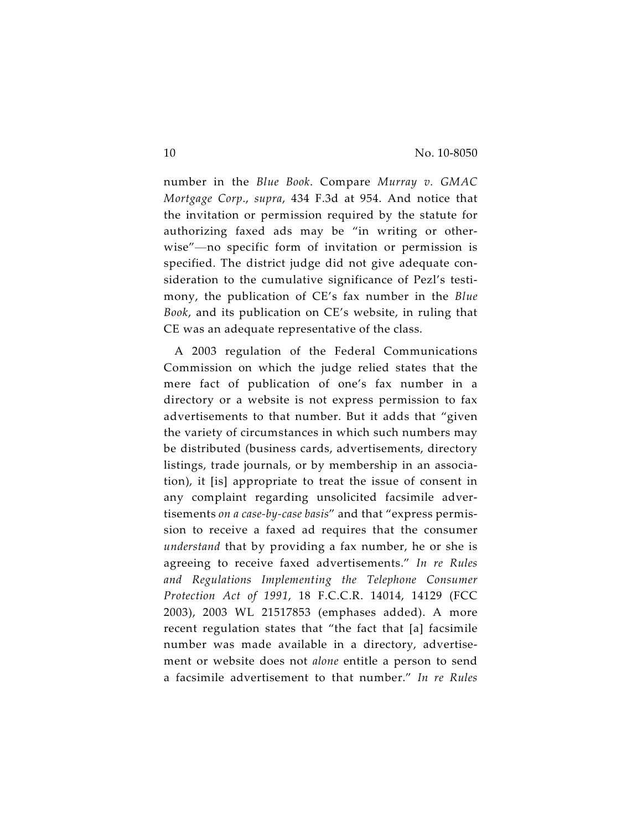number in the *Blue Book*. Compare *Murray v. GMAC Mortgage Corp*., *supra*, 434 F.3d at 954. And notice that the invitation or permission required by the statute for authorizing faxed ads may be "in writing or otherwise"—no specific form of invitation or permission is specified. The district judge did not give adequate consideration to the cumulative significance of Pezl's testimony, the publication of CE's fax number in the *Blue Book*, and its publication on CE's website, in ruling that CE was an adequate representative of the class.

A 2003 regulation of the Federal Communications Commission on which the judge relied states that the mere fact of publication of one's fax number in a directory or a website is not express permission to fax advertisements to that number. But it adds that "given the variety of circumstances in which such numbers may be distributed (business cards, advertisements, directory listings, trade journals, or by membership in an association), it [is] appropriate to treat the issue of consent in any complaint regarding unsolicited facsimile advertisements *on a case-by-case basis*" and that "express permission to receive a faxed ad requires that the consumer *understand* that by providing a fax number, he or she is agreeing to receive faxed advertisements." *In re Rules and Regulations Implementing the Telephone Consumer Protection Act of 1991*, 18 F.C.C.R. 14014, 14129 (FCC 2003), 2003 WL 21517853 (emphases added). A more recent regulation states that "the fact that [a] facsimile number was made available in a directory, advertisement or website does not *alone* entitle a person to send a facsimile advertisement to that number." *In re Rules*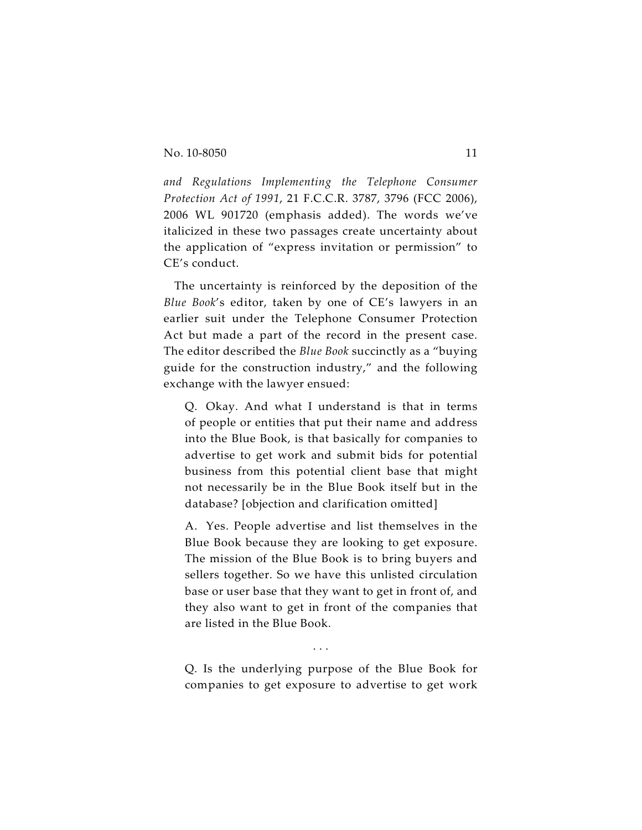*and Regulations Implementing the Telephone Consumer Protection Act of 1991*, 21 F.C.C.R. 3787, 3796 (FCC 2006), 2006 WL 901720 (emphasis added). The words we've italicized in these two passages create uncertainty about the application of "express invitation or permission" to CE's conduct.

The uncertainty is reinforced by the deposition of the *Blue Book*'s editor, taken by one of CE's lawyers in an earlier suit under the Telephone Consumer Protection Act but made a part of the record in the present case. The editor described the *Blue Book* succinctly as a "buying guide for the construction industry," and the following exchange with the lawyer ensued:

Q. Okay. And what I understand is that in terms of people or entities that put their name and address into the Blue Book, is that basically for companies to advertise to get work and submit bids for potential business from this potential client base that might not necessarily be in the Blue Book itself but in the database? [objection and clarification omitted]

A. Yes. People advertise and list themselves in the Blue Book because they are looking to get exposure. The mission of the Blue Book is to bring buyers and sellers together. So we have this unlisted circulation base or user base that they want to get in front of, and they also want to get in front of the companies that are listed in the Blue Book.

Q. Is the underlying purpose of the Blue Book for companies to get exposure to advertise to get work

. . .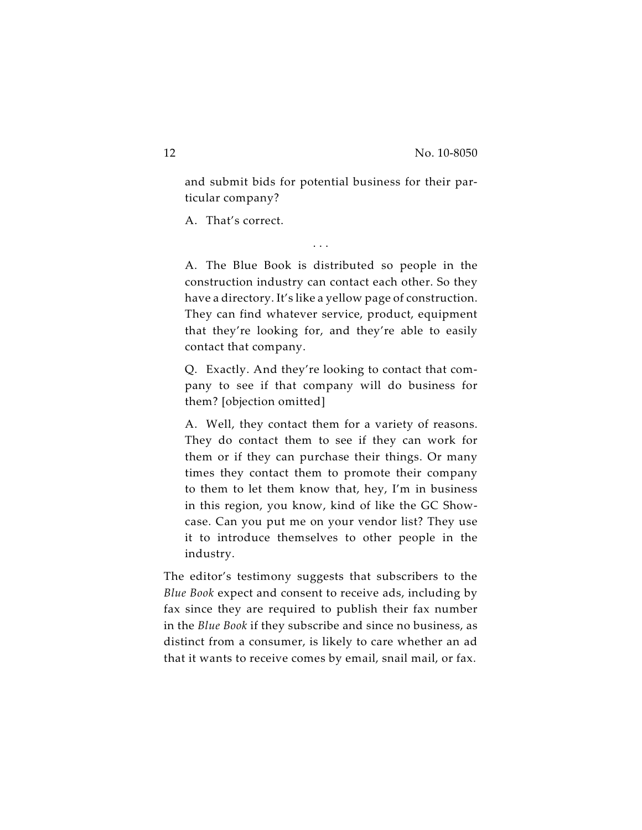and submit bids for potential business for their particular company?

. . .

A. That's correct.

A. The Blue Book is distributed so people in the construction industry can contact each other. So they have a directory. It's like a yellow page of construction. They can find whatever service, product, equipment that they're looking for, and they're able to easily contact that company.

Q. Exactly. And they're looking to contact that company to see if that company will do business for them? [objection omitted]

A. Well, they contact them for a variety of reasons. They do contact them to see if they can work for them or if they can purchase their things. Or many times they contact them to promote their company to them to let them know that, hey, I'm in business in this region, you know, kind of like the GC Showcase. Can you put me on your vendor list? They use it to introduce themselves to other people in the industry.

The editor's testimony suggests that subscribers to the *Blue Book* expect and consent to receive ads, including by fax since they are required to publish their fax number in the *Blue Book* if they subscribe and since no business, as distinct from a consumer, is likely to care whether an ad that it wants to receive comes by email, snail mail, or fax.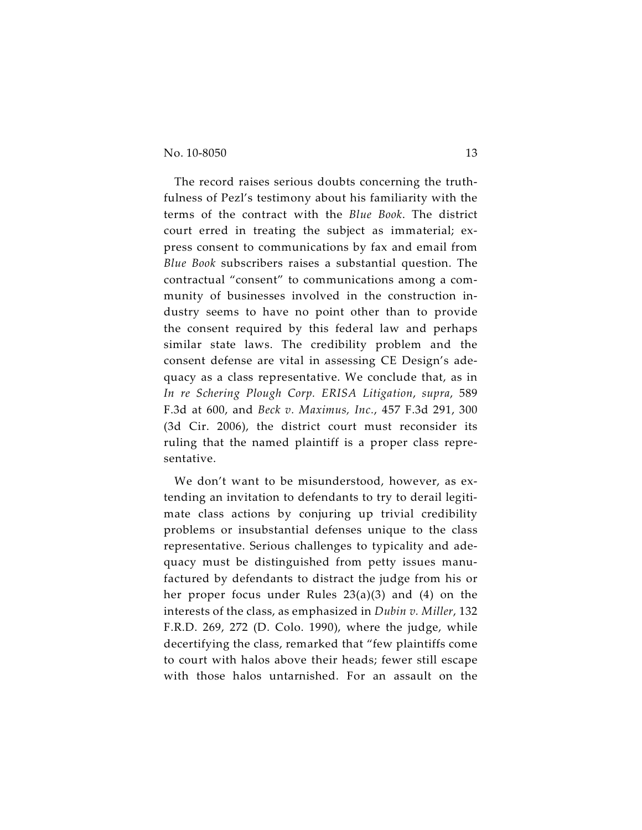The record raises serious doubts concerning the truthfulness of Pezl's testimony about his familiarity with the terms of the contract with the *Blue Book*. The district court erred in treating the subject as immaterial; express consent to communications by fax and email from *Blue Book* subscribers raises a substantial question. The contractual "consent" to communications among a community of businesses involved in the construction industry seems to have no point other than to provide the consent required by this federal law and perhaps similar state laws. The credibility problem and the consent defense are vital in assessing CE Design's adequacy as a class representative. We conclude that, as in *In re Schering Plough Corp. ERISA Litigation*, *supra*, 589 F.3d at 600, and *Beck v. Maximus, Inc.*, 457 F.3d 291, 300 (3d Cir. 2006), the district court must reconsider its ruling that the named plaintiff is a proper class representative.

We don't want to be misunderstood, however, as extending an invitation to defendants to try to derail legitimate class actions by conjuring up trivial credibility problems or insubstantial defenses unique to the class representative. Serious challenges to typicality and adequacy must be distinguished from petty issues manufactured by defendants to distract the judge from his or her proper focus under Rules 23(a)(3) and (4) on the interests of the class, as emphasized in *Dubin v. Miller*, 132 F.R.D. 269, 272 (D. Colo. 1990), where the judge, while decertifying the class, remarked that "few plaintiffs come to court with halos above their heads; fewer still escape with those halos untarnished. For an assault on the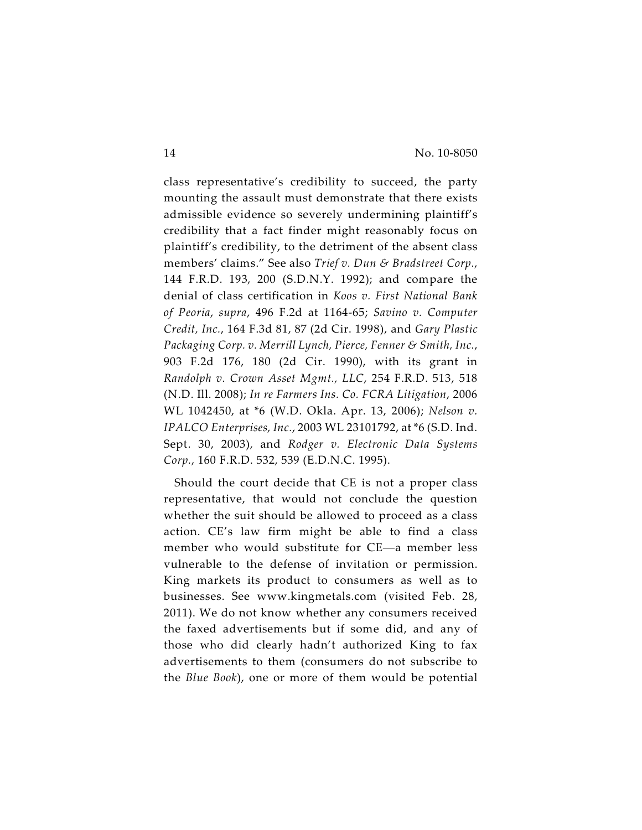class representative's credibility to succeed, the party mounting the assault must demonstrate that there exists admissible evidence so severely undermining plaintiff's credibility that a fact finder might reasonably focus on plaintiff's credibility, to the detriment of the absent class members' claims." See also *Trief v. Dun & Bradstreet Corp.*, 144 F.R.D. 193, 200 (S.D.N.Y. 1992); and compare the denial of class certification in *Koos v. First National Bank of Peoria*, *supra*, 496 F.2d at 1164-65; *Savino v. Computer Credit, Inc.*, 164 F.3d 81, 87 (2d Cir. 1998), and *Gary Plastic Packaging Corp. v. Merrill Lynch, Pierce, Fenner & Smith, Inc.*, 903 F.2d 176, 180 (2d Cir. 1990), with its grant in *Randolph v. Crown Asset Mgmt., LLC*, 254 F.R.D. 513, 518 (N.D. Ill. 2008); *In re Farmers Ins. Co. FCRA Litigation*, 2006 WL 1042450, at \*6 (W.D. Okla. Apr. 13, 2006); *Nelson v. IPALCO Enterprises, Inc.*, 2003 WL 23101792, at \*6 (S.D. Ind. Sept. 30, 2003), and *Rodger v. Electronic Data Systems Corp.*, 160 F.R.D. 532, 539 (E.D.N.C. 1995).

Should the court decide that CE is not a proper class representative, that would not conclude the question whether the suit should be allowed to proceed as a class action. CE's law firm might be able to find a class member who would substitute for CE—a member less vulnerable to the defense of invitation or permission. King markets its product to consumers as well as to businesses. See www.kingmetals.com (visited Feb. 28, 2011). We do not know whether any consumers received the faxed advertisements but if some did, and any of those who did clearly hadn't authorized King to fax advertisements to them (consumers do not subscribe to the *Blue Book*), one or more of them would be potential